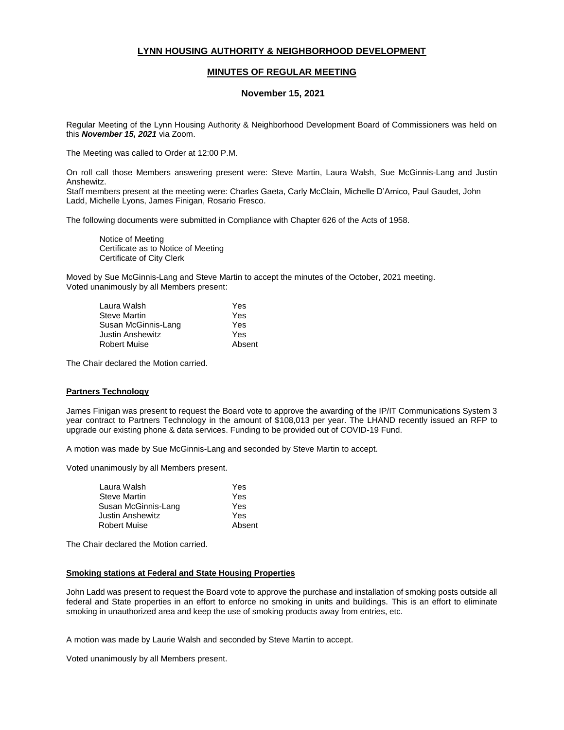# **LYNN HOUSING AUTHORITY & NEIGHBORHOOD DEVELOPMENT**

## **MINUTES OF REGULAR MEETING**

## **November 15, 2021**

Regular Meeting of the Lynn Housing Authority & Neighborhood Development Board of Commissioners was held on this *November 15, 2021* via Zoom.

The Meeting was called to Order at 12:00 P.M.

On roll call those Members answering present were: Steve Martin, Laura Walsh, Sue McGinnis-Lang and Justin Anshewitz.

Staff members present at the meeting were: Charles Gaeta, Carly McClain, Michelle D'Amico, Paul Gaudet, John Ladd, Michelle Lyons, James Finigan, Rosario Fresco.

The following documents were submitted in Compliance with Chapter 626 of the Acts of 1958.

Notice of Meeting Certificate as to Notice of Meeting Certificate of City Clerk

Moved by Sue McGinnis-Lang and Steve Martin to accept the minutes of the October, 2021 meeting. Voted unanimously by all Members present:

| Laura Walsh         | Yes    |
|---------------------|--------|
| <b>Steve Martin</b> | Yes    |
| Susan McGinnis-Lang | Yes    |
| Justin Anshewitz    | Yes    |
| <b>Robert Muise</b> | Absent |

The Chair declared the Motion carried.

#### **Partners Technology**

James Finigan was present to request the Board vote to approve the awarding of the IP/IT Communications System 3 year contract to Partners Technology in the amount of \$108,013 per year. The LHAND recently issued an RFP to upgrade our existing phone & data services. Funding to be provided out of COVID-19 Fund.

A motion was made by Sue McGinnis-Lang and seconded by Steve Martin to accept.

Voted unanimously by all Members present.

| Laura Walsh         | Yes    |
|---------------------|--------|
| <b>Steve Martin</b> | Yes    |
| Susan McGinnis-Lang | Yes    |
| Justin Anshewitz    | Yes    |
| <b>Robert Muise</b> | Absent |

The Chair declared the Motion carried.

#### **Smoking stations at Federal and State Housing Properties**

John Ladd was present to request the Board vote to approve the purchase and installation of smoking posts outside all federal and State properties in an effort to enforce no smoking in units and buildings. This is an effort to eliminate smoking in unauthorized area and keep the use of smoking products away from entries, etc.

A motion was made by Laurie Walsh and seconded by Steve Martin to accept.

Voted unanimously by all Members present.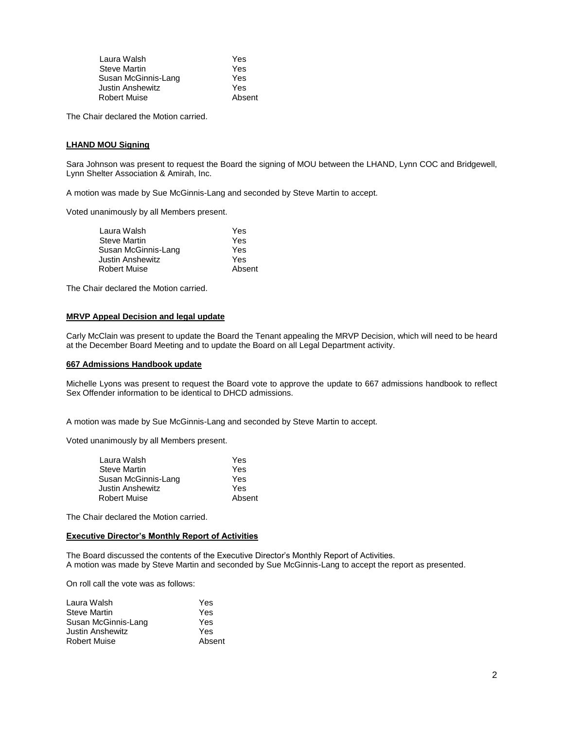| Laura Walsh         | Yes    |
|---------------------|--------|
| <b>Steve Martin</b> | Yes    |
| Susan McGinnis-Lang | Yes    |
| Justin Anshewitz    | Yes    |
| <b>Robert Muise</b> | Absent |

The Chair declared the Motion carried.

### **LHAND MOU Signing**

Sara Johnson was present to request the Board the signing of MOU between the LHAND, Lynn COC and Bridgewell, Lynn Shelter Association & Amirah, Inc.

A motion was made by Sue McGinnis-Lang and seconded by Steve Martin to accept.

Voted unanimously by all Members present.

| Yes    |
|--------|
| Yes    |
| Yes    |
| Yes    |
| Absent |
|        |

The Chair declared the Motion carried.

#### **MRVP Appeal Decision and legal update**

Carly McClain was present to update the Board the Tenant appealing the MRVP Decision, which will need to be heard at the December Board Meeting and to update the Board on all Legal Department activity.

### **667 Admissions Handbook update**

Michelle Lyons was present to request the Board vote to approve the update to 667 admissions handbook to reflect Sex Offender information to be identical to DHCD admissions.

A motion was made by Sue McGinnis-Lang and seconded by Steve Martin to accept.

Voted unanimously by all Members present.

| Laura Walsh         | Yes    |
|---------------------|--------|
| <b>Steve Martin</b> | Yes    |
| Susan McGinnis-Lang | Yes    |
| Justin Anshewitz    | Yes    |
| <b>Robert Muise</b> | Absent |
|                     |        |

The Chair declared the Motion carried.

#### **Executive Director's Monthly Report of Activities**

The Board discussed the contents of the Executive Director's Monthly Report of Activities. A motion was made by Steve Martin and seconded by Sue McGinnis-Lang to accept the report as presented.

On roll call the vote was as follows:

| Yes    |
|--------|
| Yes    |
| Yes    |
| Yes    |
| Absent |
|        |